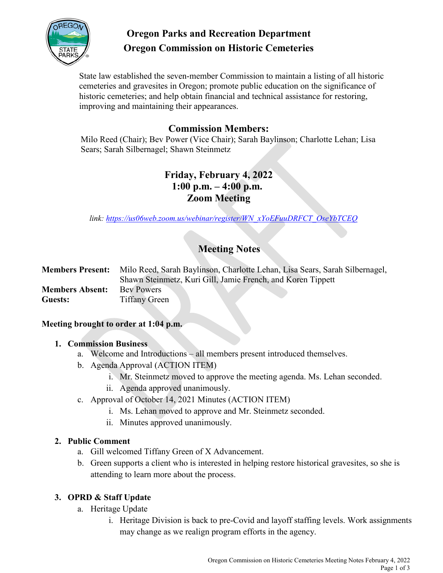

# **Oregon Parks and Recreation Department Oregon Commission on Historic Cemeteries**

State law established the seven-member Commission to maintain a listing of all historic cemeteries and gravesites in Oregon; promote public education on the significance of historic cemeteries; and help obtain financial and technical assistance for restoring, improving and maintaining their appearances.

# **Commission Members:**

Milo Reed (Chair); Bev Power (Vice Chair); Sarah Baylinson; Charlotte Lehan; Lisa Sears; Sarah Silbernagel; Shawn Steinmetz

# **Friday, February 4, 2022 1:00 p.m. – 4:00 p.m. Zoom Meeting**

 *link: [https://us06web.zoom.us/webinar/register/WN\\_xYoEFuuDRFCT\\_OseYbTCEQ](https://us06web.zoom.us/webinar/register/WN_xYoEFuuDRFCT_OseYbTCEQ)*

# **Meeting Notes**

**Members Present:** Milo Reed, Sarah Baylinson, Charlotte Lehan, Lisa Sears, Sarah Silbernagel, Shawn Steinmetz, Kuri Gill, Jamie French, and Koren Tippett **Members Absent:** Bev Powers Guests: Tiffany Green

#### **Meeting brought to order at 1:04 p.m.**

#### **1. Commission Business**

- a. Welcome and Introductions all members present introduced themselves.
- b. Agenda Approval (ACTION ITEM)
	- i. Mr. Steinmetz moved to approve the meeting agenda. Ms. Lehan seconded.
	- ii. Agenda approved unanimously.
- c. Approval of October 14, 2021 Minutes (ACTION ITEM)
	- i. Ms. Lehan moved to approve and Mr. Steinmetz seconded.
	- ii. Minutes approved unanimously.

## **2. Public Comment**

- a. Gill welcomed Tiffany Green of X Advancement.
- b. Green supports a client who is interested in helping restore historical gravesites, so she is attending to learn more about the process.

## **3. OPRD & Staff Update**

- a. Heritage Update
	- i. Heritage Division is back to pre-Covid and layoff staffing levels. Work assignments may change as we realign program efforts in the agency.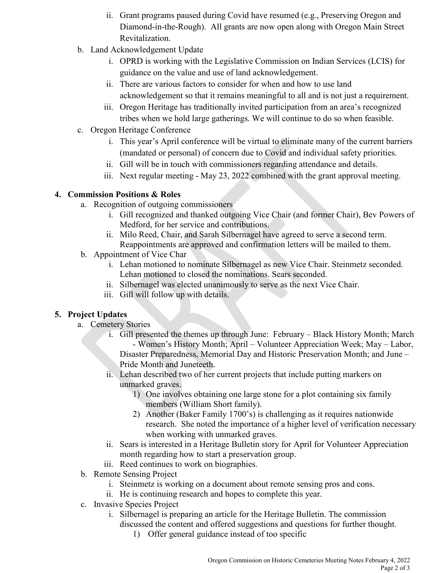- ii. Grant programs paused during Covid have resumed (e.g., Preserving Oregon and Diamond-in-the-Rough). All grants are now open along with Oregon Main Street Revitalization.
- b. Land Acknowledgement Update
	- i. OPRD is working with the Legislative Commission on Indian Services (LCIS) for guidance on the value and use of land acknowledgement.
	- ii. There are various factors to consider for when and how to use land acknowledgement so that it remains meaningful to all and is not just a requirement.
	- iii. Oregon Heritage has traditionally invited participation from an area's recognized tribes when we hold large gatherings. We will continue to do so when feasible.
- c. Oregon Heritage Conference
	- i. This year's April conference will be virtual to eliminate many of the current barriers (mandated or personal) of concern due to Covid and individual safety priorities.
	- ii. Gill will be in touch with commissioners regarding attendance and details.
	- iii. Next regular meeting May 23, 2022 combined with the grant approval meeting.

## **4. Commission Positions & Roles**

- a. Recognition of outgoing commissioners
	- i. Gill recognized and thanked outgoing Vice Chair (and former Chair), Bev Powers of Medford, for her service and contributions.
	- ii. Milo Reed, Chair, and Sarah Silbernagel have agreed to serve a second term. Reappointments are approved and confirmation letters will be mailed to them.
- b. Appointment of Vice Char
	- i. Lehan motioned to nominate Silbernagel as new Vice Chair. Steinmetz seconded. Lehan motioned to closed the nominations. Sears seconded.
	- ii. Silbernagel was elected unanimously to serve as the next Vice Chair.
	- iii. Gill will follow up with details.

## **5. Project Updates**

- a. Cemetery Stories
	- i. Gill presented the themes up through June: February Black History Month; March - Women's History Month; April – Volunteer Appreciation Week; May – Labor, Disaster Preparedness, Memorial Day and Historic Preservation Month; and June – Pride Month and Juneteeth.
	- ii. Lehan described two of her current projects that include putting markers on unmarked graves.
		- 1) One involves obtaining one large stone for a plot containing six family members (William Short family).
		- 2) Another (Baker Family 1700's) is challenging as it requires nationwide research. She noted the importance of a higher level of verification necessary when working with unmarked graves.
	- ii. Sears is interested in a Heritage Bulletin story for April for Volunteer Appreciation month regarding how to start a preservation group.
	- iii. Reed continues to work on biographies.
- b. Remote Sensing Project
	- i. Steinmetz is working on a document about remote sensing pros and cons.
	- ii. He is continuing research and hopes to complete this year.
- c. Invasive Species Project
	- i. Silbernagel is preparing an article for the Heritage Bulletin. The commission discussed the content and offered suggestions and questions for further thought.
		- 1) Offer general guidance instead of too specific